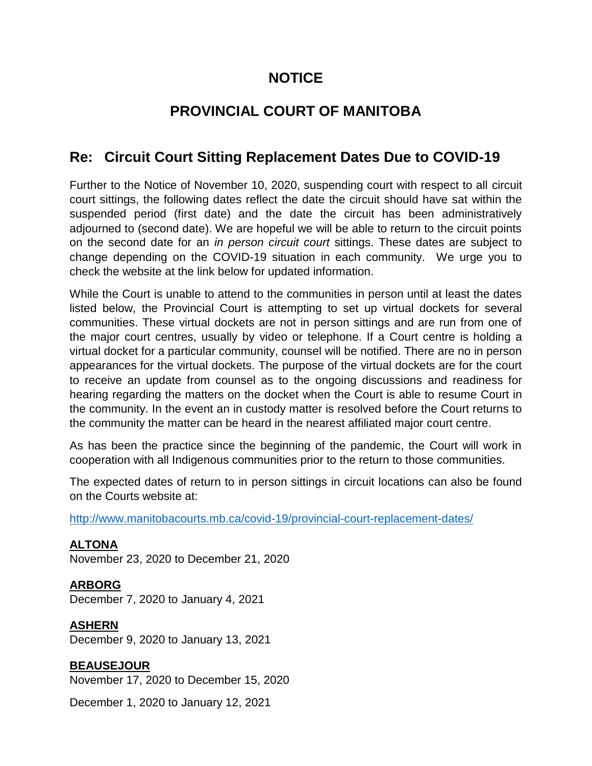# **NOTICE**

# **PROVINCIAL COURT OF MANITOBA**

# **Re: Circuit Court Sitting Replacement Dates Due to COVID-19**

Further to the Notice of November 10, 2020, suspending court with respect to all circuit court sittings, the following dates reflect the date the circuit should have sat within the suspended period (first date) and the date the circuit has been administratively adjourned to (second date). We are hopeful we will be able to return to the circuit points on the second date for an *in person circuit court* sittings. These dates are subject to change depending on the COVID-19 situation in each community. We urge you to check the website at the link below for updated information.

While the Court is unable to attend to the communities in person until at least the dates listed below, the Provincial Court is attempting to set up virtual dockets for several communities. These virtual dockets are not in person sittings and are run from one of the major court centres, usually by video or telephone. If a Court centre is holding a virtual docket for a particular community, counsel will be notified. There are no in person appearances for the virtual dockets. The purpose of the virtual dockets are for the court to receive an update from counsel as to the ongoing discussions and readiness for hearing regarding the matters on the docket when the Court is able to resume Court in the community. In the event an in custody matter is resolved before the Court returns to the community the matter can be heard in the nearest affiliated major court centre.

As has been the practice since the beginning of the pandemic, the Court will work in cooperation with all Indigenous communities prior to the return to those communities.

The expected dates of return to in person sittings in circuit locations can also be found on the Courts website at:

[http://www.manitobacourts.mb.ca/covid-19/provincial-court-replacement-dates/](https://www.manitobacourts.mb.ca/covid-19/provincial-court-replacement-dates/)

**ALTONA** November 23, 2020 to December 21, 2020

**ARBORG** December 7, 2020 to January 4, 2021

**ASHERN** December 9, 2020 to January 13, 2021

**BEAUSEJOUR**

November 17, 2020 to December 15, 2020

December 1, 2020 to January 12, 2021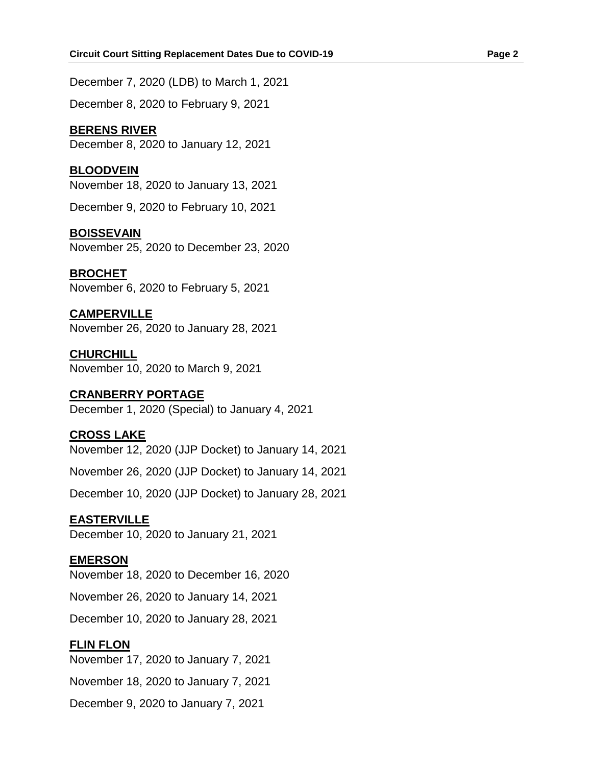December 7, 2020 (LDB) to March 1, 2021 December 8, 2020 to February 9, 2021

### **BERENS RIVER**

December 8, 2020 to January 12, 2021

### **BLOODVEIN**

November 18, 2020 to January 13, 2021

December 9, 2020 to February 10, 2021

### **BOISSEVAIN**

November 25, 2020 to December 23, 2020

### **BROCHET**

November 6, 2020 to February 5, 2021

### **CAMPERVILLE**

November 26, 2020 to January 28, 2021

**CHURCHILL** November 10, 2020 to March 9, 2021

# **CRANBERRY PORTAGE**

December 1, 2020 (Special) to January 4, 2021

# **CROSS LAKE**

November 12, 2020 (JJP Docket) to January 14, 2021

November 26, 2020 (JJP Docket) to January 14, 2021

December 10, 2020 (JJP Docket) to January 28, 2021

# **EASTERVILLE**

December 10, 2020 to January 21, 2021

### **EMERSON**

November 18, 2020 to December 16, 2020

November 26, 2020 to January 14, 2021

December 10, 2020 to January 28, 2021

# **FLIN FLON**

November 17, 2020 to January 7, 2021

November 18, 2020 to January 7, 2021

December 9, 2020 to January 7, 2021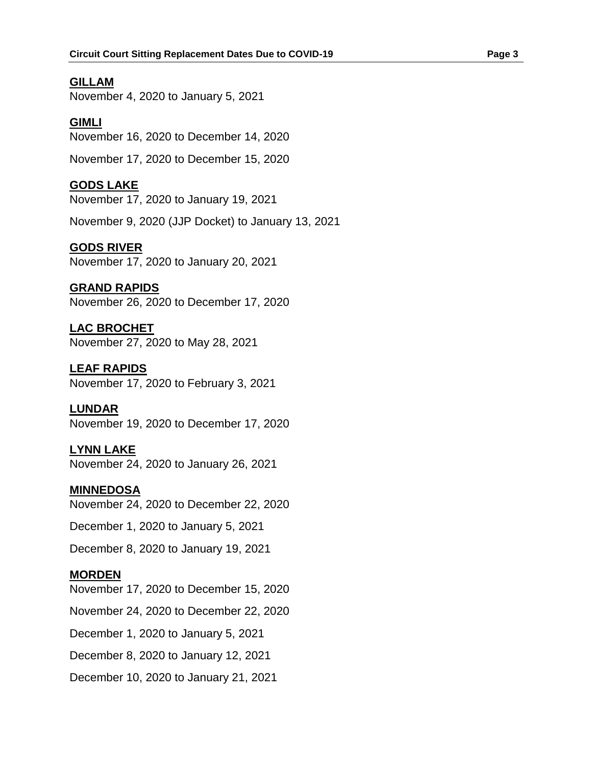### **GILLAM**

November 4, 2020 to January 5, 2021

### **GIMLI**

November 16, 2020 to December 14, 2020

November 17, 2020 to December 15, 2020

### **GODS LAKE**

November 17, 2020 to January 19, 2021

November 9, 2020 (JJP Docket) to January 13, 2021

### **GODS RIVER**

November 17, 2020 to January 20, 2021

### **GRAND RAPIDS**

November 26, 2020 to December 17, 2020

# **LAC BROCHET**

November 27, 2020 to May 28, 2021

**LEAF RAPIDS** November 17, 2020 to February 3, 2021

### **LUNDAR**

November 19, 2020 to December 17, 2020

# **LYNN LAKE**

November 24, 2020 to January 26, 2021

### **MINNEDOSA**

November 24, 2020 to December 22, 2020

December 1, 2020 to January 5, 2021

December 8, 2020 to January 19, 2021

### **MORDEN**

November 17, 2020 to December 15, 2020

November 24, 2020 to December 22, 2020

December 1, 2020 to January 5, 2021

December 8, 2020 to January 12, 2021

December 10, 2020 to January 21, 2021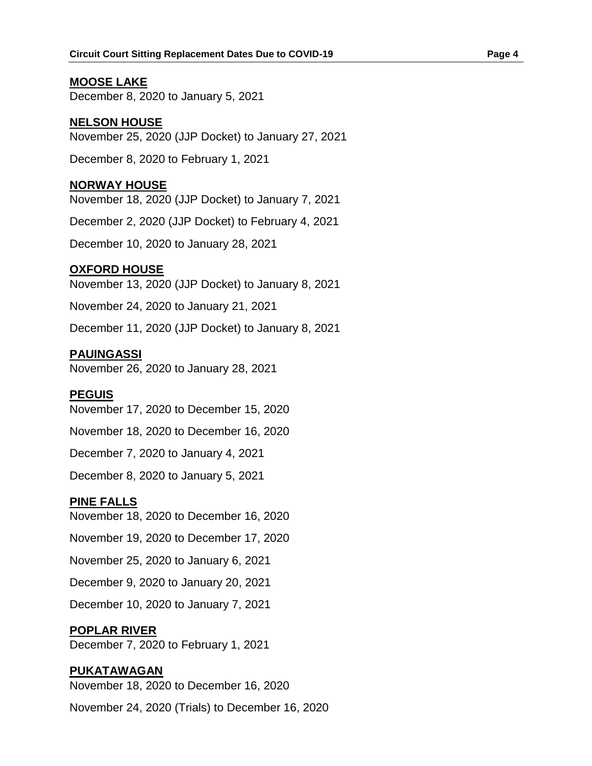### **MOOSE LAKE**

December 8, 2020 to January 5, 2021

### **NELSON HOUSE**

November 25, 2020 (JJP Docket) to January 27, 2021

December 8, 2020 to February 1, 2021

### **NORWAY HOUSE**

November 18, 2020 (JJP Docket) to January 7, 2021

December 2, 2020 (JJP Docket) to February 4, 2021

December 10, 2020 to January 28, 2021

### **OXFORD HOUSE**

November 13, 2020 (JJP Docket) to January 8, 2021

November 24, 2020 to January 21, 2021

December 11, 2020 (JJP Docket) to January 8, 2021

### **PAUINGASSI**

November 26, 2020 to January 28, 2021

#### **PEGUIS**

November 17, 2020 to December 15, 2020

November 18, 2020 to December 16, 2020

December 7, 2020 to January 4, 2021

December 8, 2020 to January 5, 2021

#### **PINE FALLS**

November 18, 2020 to December 16, 2020

November 19, 2020 to December 17, 2020

November 25, 2020 to January 6, 2021

December 9, 2020 to January 20, 2021

December 10, 2020 to January 7, 2021

#### **POPLAR RIVER**

December 7, 2020 to February 1, 2021

#### **PUKATAWAGAN**

November 18, 2020 to December 16, 2020

November 24, 2020 (Trials) to December 16, 2020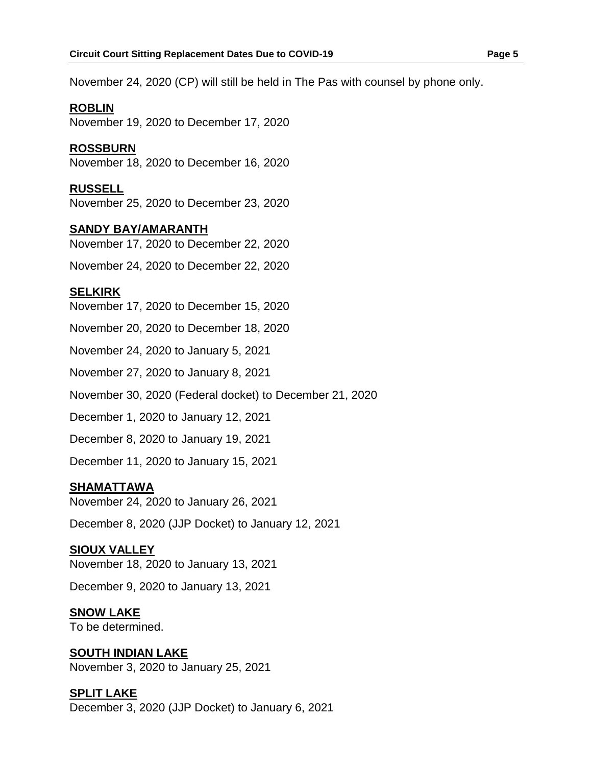November 24, 2020 (CP) will still be held in The Pas with counsel by phone only.

### **ROBLIN**

November 19, 2020 to December 17, 2020

### **ROSSBURN**

November 18, 2020 to December 16, 2020

### **RUSSELL**

November 25, 2020 to December 23, 2020

### **SANDY BAY/AMARANTH**

November 17, 2020 to December 22, 2020

November 24, 2020 to December 22, 2020

# **SELKIRK**

November 17, 2020 to December 15, 2020

November 20, 2020 to December 18, 2020

November 24, 2020 to January 5, 2021

November 27, 2020 to January 8, 2021

November 30, 2020 (Federal docket) to December 21, 2020

December 1, 2020 to January 12, 2021

December 8, 2020 to January 19, 2021

December 11, 2020 to January 15, 2021

# **SHAMATTAWA**

November 24, 2020 to January 26, 2021

December 8, 2020 (JJP Docket) to January 12, 2021

### **SIOUX VALLEY**

November 18, 2020 to January 13, 2021

December 9, 2020 to January 13, 2021

# **SNOW LAKE**

To be determined.

# **SOUTH INDIAN LAKE**

November 3, 2020 to January 25, 2021

# **SPLIT LAKE**

December 3, 2020 (JJP Docket) to January 6, 2021